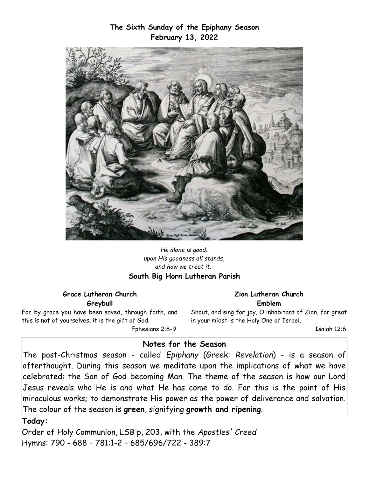**The Sixth Sunday of the Epiphany Season February 13, 2022**



*He alone is good; upon His goodness all stands, and how we treat it.*  **South Big Horn Lutheran Parish**

**Grace Lutheran Church Greybull**

For by grace you have been saved, through faith, and this is not of yourselves, it is the gift of God.

Ephesians 2:8-9

#### **Zion Lutheran Church Emblem**

Shout, and sing for joy, O inhabitant of Zion, for great in your midst is the Holy One of Israel.

Isaiah 12:6

#### **Notes for the Season**

The post-Christmas season - called *Epiphany* (Greek: *Revelation*) - is a season of afterthought. During this season we meditate upon the implications of what we have celebrated: the Son of God becoming Man. The theme of the season is how our Lord Jesus reveals who He is and what He has come to do. For this is the point of His miraculous works; to demonstrate His power as the power of deliverance and salvation. The colour of the season is **green**, signifying **growth and ripening**.

### **Today:**

Order of Holy Communion, LSB p, 203, with the *Apostles' Creed* Hymns: 790 - 688 – 781:1-2 – 685/696/722 - 389:7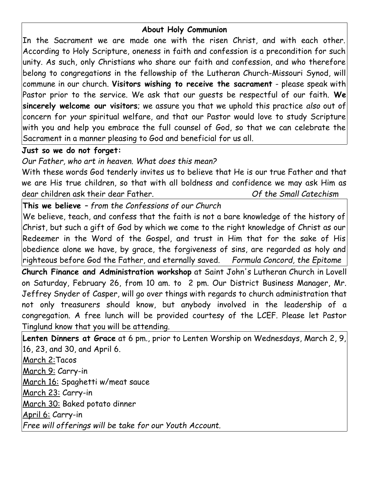## **About Holy Communion**

In the Sacrament we are made one with the risen Christ, and with each other. According to Holy Scripture, oneness in faith and confession is a precondition for such unity. As such, only Christians who share our faith and confession, and who therefore belong to congregations in the fellowship of the Lutheran Church-Missouri Synod, will commune in our church. **Visitors wishing to receive the sacrament** - please speak with Pastor prior to the service. We ask that our guests be respectful of our faith. **We sincerely welcome our visitors**; we assure you that we uphold this practice *also* out of concern for *your* spiritual welfare, and that our Pastor would love to study Scripture with you and help you embrace the full counsel of God, so that we can celebrate the Sacrament in a manner pleasing to God and beneficial for us all.

# **Just so we do not forget:**

*Our Father, who art in heaven. What does this mean?*

With these words God tenderly invites us to believe that He is our true Father and that we are His true children, so that with all boldness and confidence we may ask Him as dear children ask their dear Father. *Of the Small Catechism*

**This we believe** *– from the Confessions of our Church*

We believe, teach, and confess that the faith is not a bare knowledge of the history of Christ, but such a gift of God by which we come to the right knowledge of Christ as our Redeemer in the Word of the Gospel, and trust in Him that for the sake of His obedience alone we have, by grace, the forgiveness of sins, are regarded as holy and righteous before God the Father, and eternally saved. *Formula Concord, the Epitome*

**Church Finance and Administration workshop** at Saint John's Lutheran Church in Lovell on Saturday, February 26, from 10 am. to 2 pm. Our District Business Manager, Mr. Jeffrey Snyder of Casper, will go over things with regards to church administration that not only treasurers should know, but anybody involved in the leadership of a congregation. A free lunch will be provided courtesy of the LCEF. Please let Pastor Tinglund know that you will be attending.

**Lenten Dinners at Grace** at 6 pm., prior to Lenten Worship on Wednesdays, March 2, 9, 16, 23, and 30, and April 6. March 2:Tacos March 9: Carry-in March 16: Spaghetti w/meat sauce March 23: Carry-in March 30: Baked potato dinner April 6: Carry-in *Free will offerings will be take for our Youth Account.*